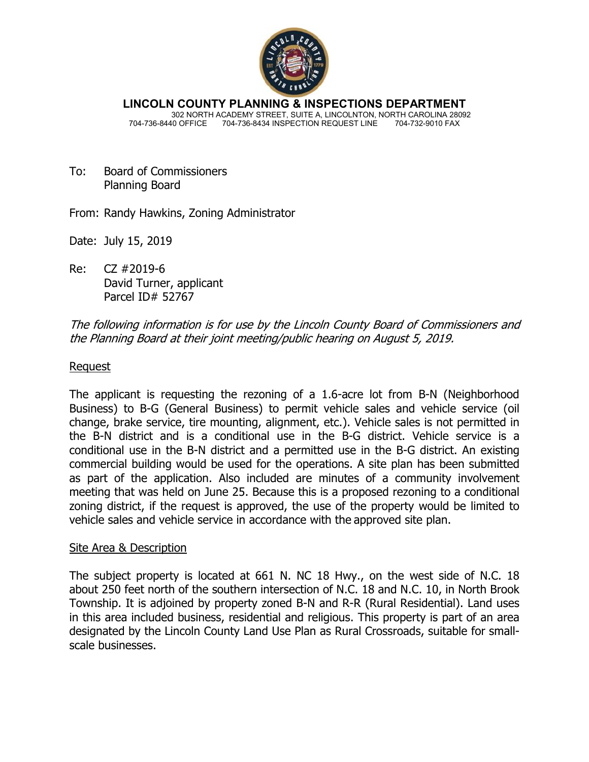

**LINCOLN COUNTY PLANNING & INSPECTIONS DEPARTMENT** 302 NORTH ACADEMY STREET, SUITE A, LINCOLNTON, NORTH CAROLINA 28092 704-736-8440 OFFICE 704-736-8434 INSPECTION REQUEST LINE 704-732-9010 FAX

- To: Board of Commissioners Planning Board
- From: Randy Hawkins, Zoning Administrator
- Date: July 15, 2019
- Re: CZ #2019-6 David Turner, applicant Parcel ID# 52767

The following information is for use by the Lincoln County Board of Commissioners and the Planning Board at their joint meeting/public hearing on August 5, 2019.

# Request

The applicant is requesting the rezoning of a 1.6-acre lot from B-N (Neighborhood Business) to B-G (General Business) to permit vehicle sales and vehicle service (oil change, brake service, tire mounting, alignment, etc.). Vehicle sales is not permitted in the B-N district and is a conditional use in the B-G district. Vehicle service is a conditional use in the B-N district and a permitted use in the B-G district. An existing commercial building would be used for the operations. A site plan has been submitted as part of the application. Also included are minutes of a community involvement meeting that was held on June 25. Because this is a proposed rezoning to a conditional zoning district, if the request is approved, the use of the property would be limited to vehicle sales and vehicle service in accordance with the approved site plan.

#### Site Area & Description

The subject property is located at 661 N. NC 18 Hwy., on the west side of N.C. 18 about 250 feet north of the southern intersection of N.C. 18 and N.C. 10, in North Brook Township. It is adjoined by property zoned B-N and R-R (Rural Residential). Land uses in this area included business, residential and religious. This property is part of an area designated by the Lincoln County Land Use Plan as Rural Crossroads, suitable for smallscale businesses.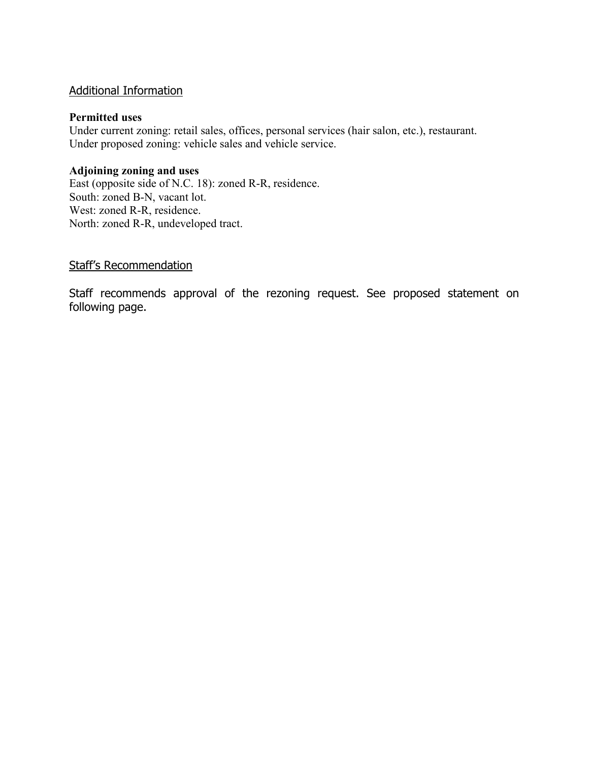# Additional Information

### **Permitted uses**

Under current zoning: retail sales, offices, personal services (hair salon, etc.), restaurant. Under proposed zoning: vehicle sales and vehicle service.

### **Adjoining zoning and uses**

East (opposite side of N.C. 18): zoned R-R, residence. South: zoned B-N, vacant lot. West: zoned R-R, residence. North: zoned R-R, undeveloped tract.

# Staff's Recommendation

Staff recommends approval of the rezoning request. See proposed statement on following page.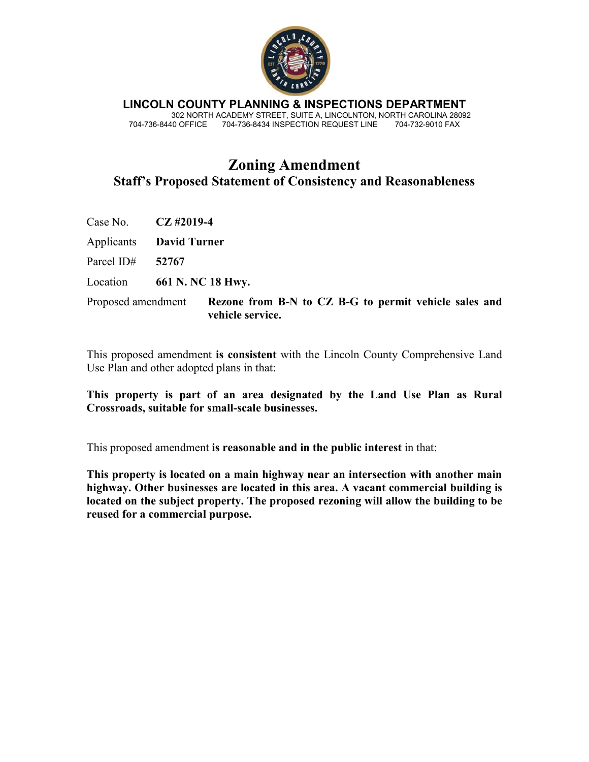

**LINCOLN COUNTY PLANNING & INSPECTIONS DEPARTMENT** 302 NORTH ACADEMY STREET, SUITE A, LINCOLNTON, NORTH CAROLINA 28092 704-736-8440 OFFICE 704-736-8434 INSPECTION REQUEST LINE 704-732-9010 FAX

# **Zoning Amendment Staff's Proposed Statement of Consistency and Reasonableness**

Case No. **CZ #2019-4** 

Applicants **David Turner** 

Parcel ID# **52767** 

Location **661 N. NC 18 Hwy.** 

Proposed amendment **Rezone from B-N to CZ B-G to permit vehicle sales and vehicle service.** 

This proposed amendment **is consistent** with the Lincoln County Comprehensive Land Use Plan and other adopted plans in that:

**This property is part of an area designated by the Land Use Plan as Rural Crossroads, suitable for small-scale businesses.** 

This proposed amendment **is reasonable and in the public interest** in that:

**This property is located on a main highway near an intersection with another main highway. Other businesses are located in this area. A vacant commercial building is located on the subject property. The proposed rezoning will allow the building to be reused for a commercial purpose.**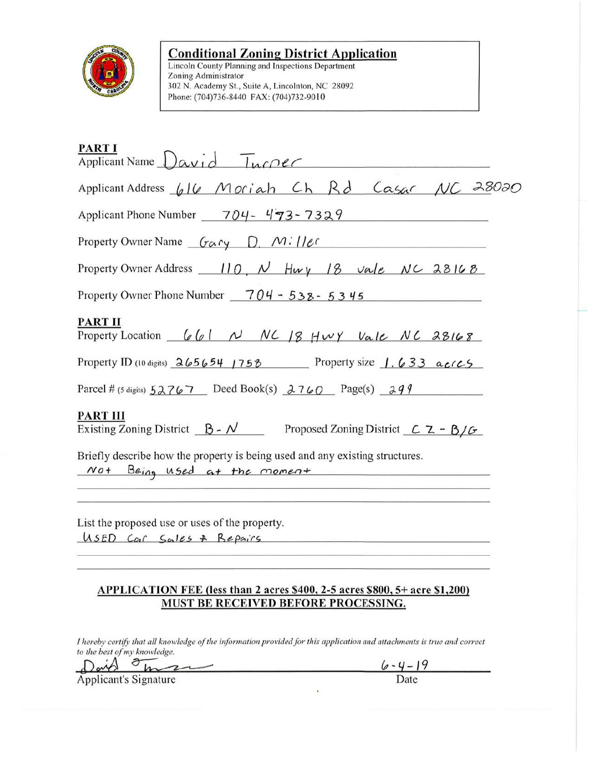

# **Conditional Zoning District Application**

Lincoln County Planning and Inspections Department Zoning Administrator 302 N. Academy St., Suite A, Lincolnton, NC 28092 Phone: (704)736-8440 FAX: (704)732-9010

| <b>PART I</b><br>Applicant Name David Tuccec                                                                 |
|--------------------------------------------------------------------------------------------------------------|
| Applicant Address 616 Moriah Ch Rd Casar NC 28020                                                            |
| Applicant Phone Number $\frac{704}{473-7329}$                                                                |
| Property Owner Name $Gary$ D, $M:IIec$                                                                       |
| Property Owner Address $\frac{110}{\sqrt{111}}$ , $\frac{N}{111}$ Hury $\frac{18}{18}$ vale NC 28168         |
| Property Owner Phone Number $-704 - 538 - 5345$                                                              |
| PART II<br>Property Location $661 N NC 18 HwY Value NC 28168$                                                |
| Property ID (10 digits) $265654$ 1758 Property size 1.633 acrcs                                              |
| Parcel # (5 digits) $52767$ Deed Book(s) $2760$ Page(s) $299$                                                |
| PART III<br>Existing Zoning District $\beta - N$ Proposed Zoning District $\beta - \beta/\beta$              |
| Briefly describe how the property is being used and any existing structures.<br>Not Being used at the moment |
| List the proposed use or uses of the property.<br>USED Car Sales + Bepairs                                   |

# APPLICATION FEE (less than 2 acres \$400, 2-5 acres \$800, 5+ acre \$1,200) MUST BE RECEIVED BEFORE PROCESSING.

I hereby certify that all knowledge of the information provided for this application and attachments is true and correct to the best of my knowledge.

Daid on  $\sim$ Applicant's Signature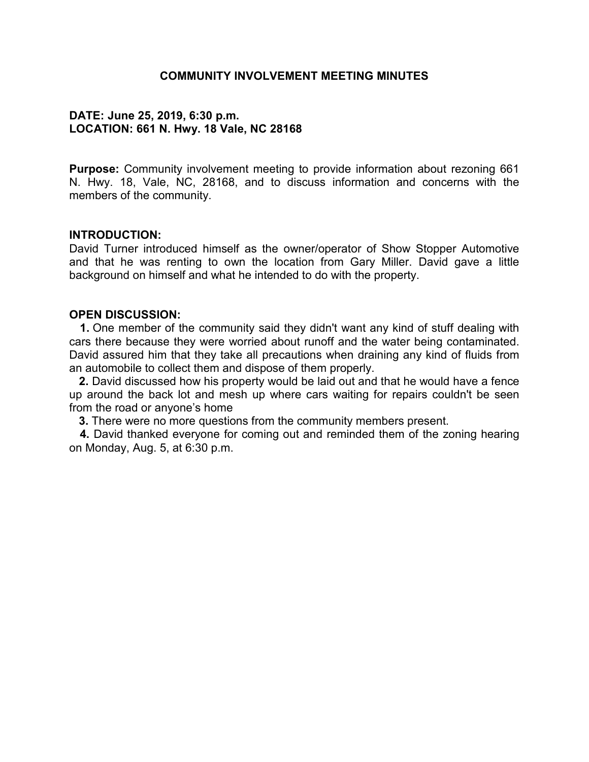### **COMMUNITY INVOLVEMENT MEETING MINUTES**

# **DATE: June 25, 2019, 6:30 p.m. LOCATION: 661 N. Hwy. 18 Vale, NC 28168**

**Purpose:** Community involvement meeting to provide information about rezoning 661 N. Hwy. 18, Vale, NC, 28168, and to discuss information and concerns with the members of the community.

### **INTRODUCTION:**

David Turner introduced himself as the owner/operator of Show Stopper Automotive and that he was renting to own the location from Gary Miller. David gave a little background on himself and what he intended to do with the property.

#### **OPEN DISCUSSION:**

 **1.** One member of the community said they didn't want any kind of stuff dealing with cars there because they were worried about runoff and the water being contaminated. David assured him that they take all precautions when draining any kind of fluids from an automobile to collect them and dispose of them properly.

 **2.** David discussed how his property would be laid out and that he would have a fence up around the back lot and mesh up where cars waiting for repairs couldn't be seen from the road or anyone's home

**3.** There were no more questions from the community members present.

 **4.** David thanked everyone for coming out and reminded them of the zoning hearing on Monday, Aug. 5, at 6:30 p.m.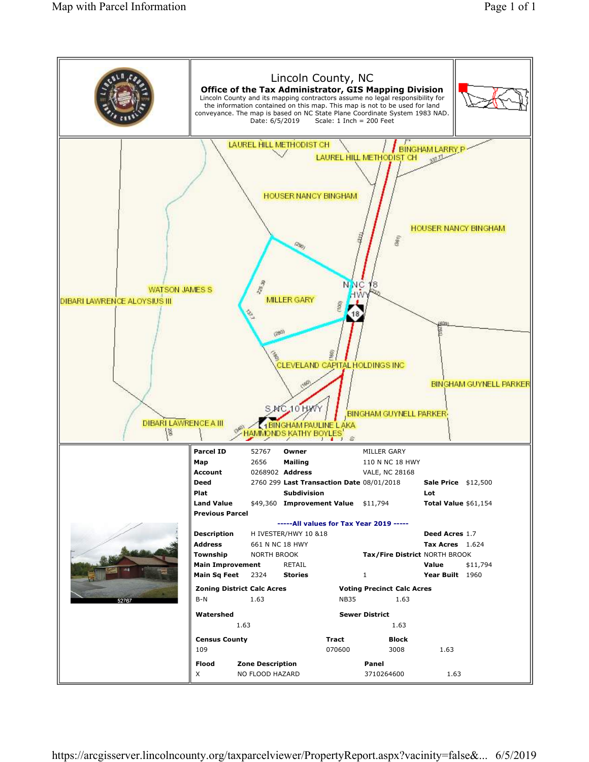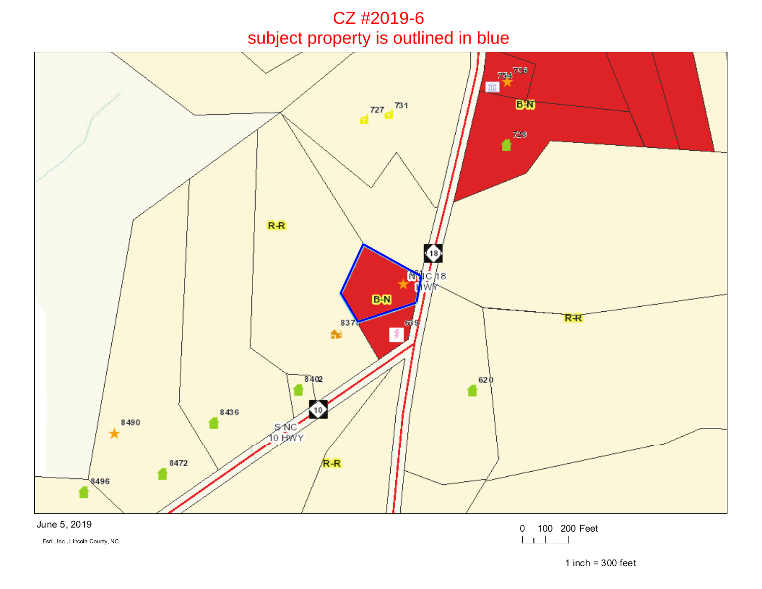CZ #2019-6subject property is outlined in blue



Esri., Inc., Lincoln County, NC

1 inch =  $300$  feet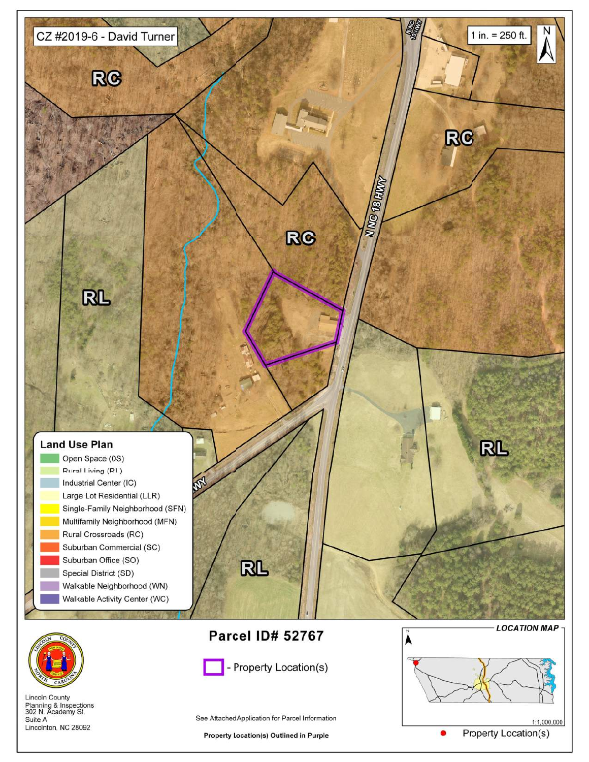



**Lincoln County** Planning & Inspections<br>302 N. Academy St. Suite A Lincolnton, NC 28092



- Property Location(s)

See Attached Application for Parcel Information

**Property Location(s) Outlined in Purple** 

 $1:1,000,000$ **Property Location(s)**